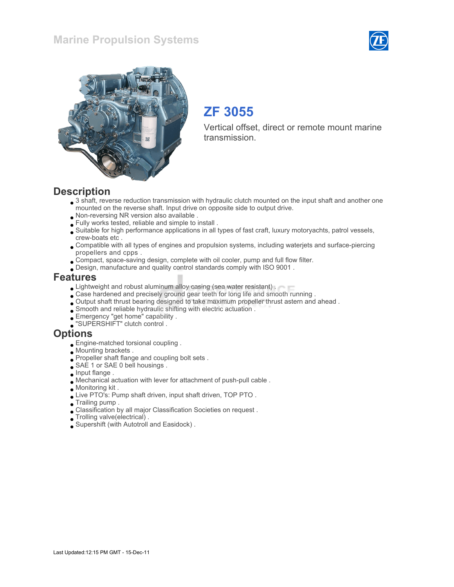



# ZF 3055

Vertical offset, direct or remote mount marine transmission.

### **Description**

- 3 shaft, reverse reduction transmission with hydraulic clutch mounted on the input shaft and another one mounted on the reverse shaft. Input drive on opposite side to output drive.
- Non-reversing NR version also available .
- Fully works tested, reliable and simple to install .
- Suitable for high performance applications in all types of fast craft, luxury motoryachts, patrol vessels, crew-boats etc .
- Compatible with all types of engines and propulsion systems, including waterjets and surface-piercing propellers and cpps .
- Compact, space-saving design, complete with oil cooler, pump and full flow filter.
- Design, manufacture and quality control standards comply with ISO 9001 .

#### Features

- **Lightweight and robust aluminum alloy casing (sea water resistant).**
- Case hardened and precisely ground gear teeth for long life and smooth running .
- Output shaft thrust bearing designed to take maximum propeller thrust astern and ahead .
- Smooth and reliable hydraulic shifting with electric actuation .
- Emergency "get home" capability .
- "SUPERSHIFT" clutch control .

#### **Options**

- Engine-matched torsional coupling .
- Mounting brackets .
- Propeller shaft flange and coupling bolt sets .
- SAE 1 or SAE 0 bell housings.
- $\bullet$  Input flange.
- Mechanical actuation with lever for attachment of push-pull cable .
- Monitoring kit .
- Live PTO's: Pump shaft driven, input shaft driven, TOP PTO .
- Trailing pump .
- Classification by all major Classification Societies on request .
- Trolling valve(electrical) .
- Supershift (with Autotroll and Easidock) .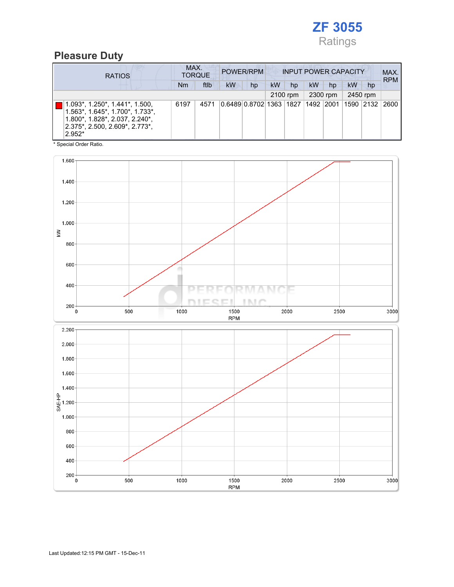

### Pleasure Duty

| <b>RATIOS</b>                                                                                                                                                                | MAX.<br><b>TORQUE</b> |      | POWER/RPM |                                   | <b>INPUT POWER CAPACITY</b> |          |           |          |           |          | MAX.<br><b>RPM</b> |
|------------------------------------------------------------------------------------------------------------------------------------------------------------------------------|-----------------------|------|-----------|-----------------------------------|-----------------------------|----------|-----------|----------|-----------|----------|--------------------|
|                                                                                                                                                                              | Nm                    | ftlb | <b>kW</b> | hp                                | kW                          | hp       | <b>kW</b> | hp       | kW        | hp       |                    |
|                                                                                                                                                                              |                       |      |           |                                   |                             | 2100 rpm |           | 2300 rpm |           | 2450 rpm |                    |
| $1.093^*$ , $1.250^*$ , $1.441^*$ , $1.500$ ,<br>$1.563$ *, $1.645$ *, $1.700$ *, $1.733$ *,<br>1.800*, 1.828*, 2.037, 2.240*,<br>2.375*, 2.500, 2.609*, 2.773*,<br>$2.952*$ | 6197                  | 4571 |           | 0.6489 0.8702 1363 1827 1492 2001 |                             |          |           |          | 1590 2132 |          | 2600               |

\* Special Order Ratio.

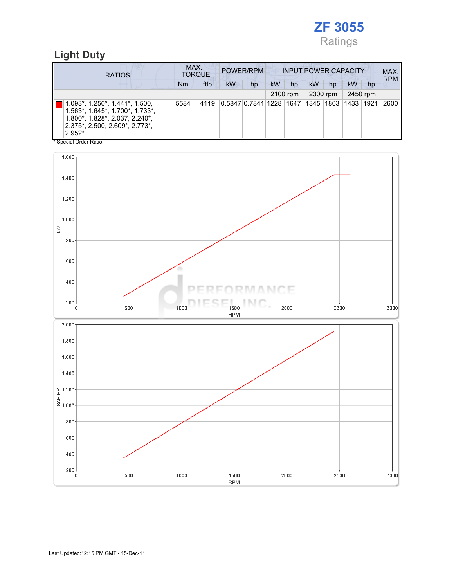

### Light Duty

| <b>RATIOS</b>                                                                                                                                                                           |      | MAX.<br><b>INPUT POWER CAPACITY</b><br>POWER/RPM<br><b>TORQUE</b> |           |                                   |    |          |    |          | MAX.<br><b>RPM</b> |          |      |
|-----------------------------------------------------------------------------------------------------------------------------------------------------------------------------------------|------|-------------------------------------------------------------------|-----------|-----------------------------------|----|----------|----|----------|--------------------|----------|------|
|                                                                                                                                                                                         | Nm   | ftlb                                                              | <b>kW</b> | hp                                | kW | hp       | kW | hp       | <b>kW</b>          | hp       |      |
|                                                                                                                                                                                         |      |                                                                   |           |                                   |    | 2100 rpm |    | 2300 rpm |                    | 2450 rpm |      |
| 1.093*, 1.250*, 1.441*, 1.500,<br>$1.563^*$ , $1.645^*$ , $1.700^*$ , $1.733^*$ ,<br>1.800*, 1.828*, 2.037, 2.240*,<br> 2.375*, 2.500, 2.609*, 2.773*,<br>$2.952*$<br>$*$ 0. 0. 0. . 1. | 5584 | 4119                                                              |           | 0.5847 0.7841 1228 1647 1345 1803 |    |          |    |          | 1433   1921        |          | 2600 |

Special Order Ratio.

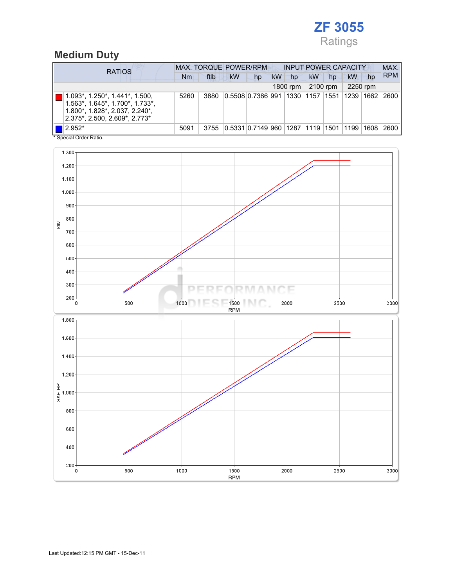## ZF 3055 Ratings

## Medium Duty

| <b>RATIOS</b>                                                                                                                                                   |      | <b>MAX. TORQUE POWER/RPM</b> |           |                                     |           |          | <b>INPUT POWER CAPACITY</b> |          |             |          |            |  |
|-----------------------------------------------------------------------------------------------------------------------------------------------------------------|------|------------------------------|-----------|-------------------------------------|-----------|----------|-----------------------------|----------|-------------|----------|------------|--|
|                                                                                                                                                                 | Nm   | ftlb                         | <b>kW</b> | hp                                  | <b>kW</b> | hp       | <b>kW</b>                   | hp       | <b>kW</b>   | hp       | <b>RPM</b> |  |
|                                                                                                                                                                 |      |                              |           |                                     |           | 1800 rpm |                             | 2100 rpm |             | 2250 rpm |            |  |
| $1.093^*$ , $1.250^*$ , $1.441^*$ , $1.500$ ,<br>$1.563$ *, $1.645$ *, $1.700$ *, $1.733$ *,<br>1.800*, 1.828*, 2.037, 2.240*,<br>2.375*, 2.500, 2.609*, 2.773* | 5260 | 3880                         |           | 0.5508 0.7386 991 1330 1157 1551    |           |          |                             |          | 1239   1662 |          | 2600       |  |
| $\blacksquare$ 2.952*<br>$\cdots$                                                                                                                               | 5091 | 3755                         |           | 0.5331 0.7149 960  1287  1119  1501 |           |          |                             |          | 1199        | 1608     | 2600       |  |

\* Special Order Ratio.

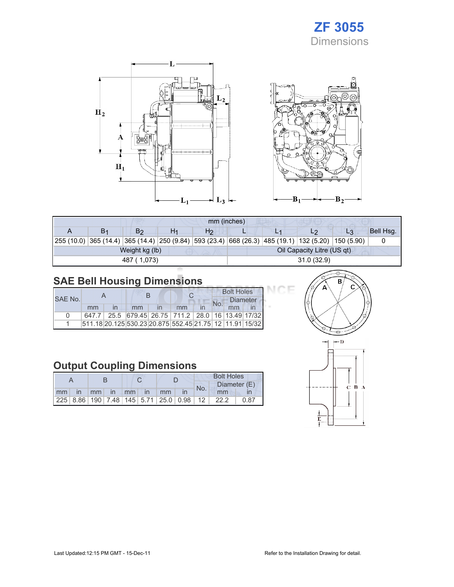## ZF 3055 Dimensions





| mm (inches) |                |    |                |                            |  |                                                                                                    |    |           |  |
|-------------|----------------|----|----------------|----------------------------|--|----------------------------------------------------------------------------------------------------|----|-----------|--|
| В1          | B2             | H1 | H <sub>2</sub> |                            |  | L2                                                                                                 | L3 | Bell Hsg. |  |
|             |                |    |                |                            |  | 255 (10.0) 365 (14.4) 365 (14.4) 250 (9.84) 593 (23.4) 668 (26.3) 485 (19.1) 132 (5.20) 150 (5.90) |    |           |  |
|             | Weight kg (lb) |    |                | Oil Capacity Litre (US qt) |  |                                                                                                    |    |           |  |
|             | 487 (1,073)    |    |                | 31.0(32.9)                 |  |                                                                                                    |    |           |  |

## SAE Bell Housing Dimensions

| SAE No. |    |    |                                                         | <b>Bolt Holes</b><br><b>Diameter</b><br>No. |    |  |
|---------|----|----|---------------------------------------------------------|---------------------------------------------|----|--|
|         | mm | mm | mm                                                      |                                             | mm |  |
|         |    |    | 647.7 25.5 679.45 26.75 711.2 28.0 16 13.49 17/32       |                                             |    |  |
|         |    |    | 511.18 20.125 530.23 20.875 552.45 21.75 12 11.91 15/32 |                                             |    |  |

### Output Coupling Dimensions

|    |              |                 |          |  |      |    |                                                         | <b>Bolt Holes</b> |              |      |  |  |
|----|--------------|-----------------|----------|--|------|----|---------------------------------------------------------|-------------------|--------------|------|--|--|
|    |              |                 |          |  |      |    |                                                         | No.               | Diameter (E) |      |  |  |
| mm | $\mathsf{I}$ | mm <sub>1</sub> | $\ln$ mm |  | l in | mm |                                                         |                   | mm           |      |  |  |
|    |              |                 |          |  |      |    | 225   8.86   190   7.48   145   5.71   25.0   0.98   12 |                   | 22.2         | 0.87 |  |  |